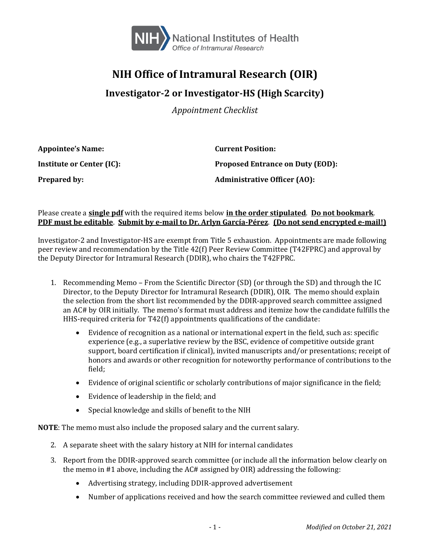

## **NIH Office of Intramural Research (OIR)**

## **Investigator-2 or Investigator-HS (High Scarcity)**

*Appointment Checklist*

| <b>Appointee's Name:</b>         | <b>Current Position:</b>                |
|----------------------------------|-----------------------------------------|
| <b>Institute or Center (IC):</b> | <b>Proposed Entrance on Duty (EOD):</b> |
| <b>Prepared by:</b>              | <b>Administrative Officer (AO):</b>     |

## Please create a **single pdf** with the required items below **in the order stipulated**. **Do not bookmark**. **PDF must be editable**. **Submit by e-mail to Dr. Arlyn García-Pérez**. **(Do not send encrypted e-mail!)**

Investigator-2 and Investigator-HS are exempt from Title 5 exhaustion. Appointments are made following peer review and recommendation by the Title 42(f) Peer Review Committee (T42FPRC) and approval by the Deputy Director for Intramural Research (DDIR), who chairs the T42FPRC.

- 1. Recommending Memo From the Scientific Director (SD) (or through the SD) and through the IC Director, to the Deputy Director for Intramural Research (DDIR), OIR. The memo should explain the selection from the short list recommended by the DDIR-approved search committee assigned an AC# by OIR initially. The memo's format must address and itemize how the candidate fulfills the HHS-required criteria for T42(f) appointments qualifications of the candidate:
	- Evidence of recognition as a national or international expert in the field, such as: specific experience (e.g., a superlative review by the BSC, evidence of competitive outside grant support, board certification if clinical), invited manuscripts and/or presentations; receipt of honors and awards or other recognition for noteworthy performance of contributions to the field;
	- Evidence of original scientific or scholarly contributions of major significance in the field;
	- Evidence of leadership in the field; and
	- Special knowledge and skills of benefit to the NIH

**NOTE**: The memo must also include the proposed salary and the current salary.

- 2. A separate sheet with the salary history at NIH for internal candidates
- 3. Report from the DDIR-approved search committee (or include all the information below clearly on the memo in #1 above, including the AC# assigned by OIR) addressing the following:
	- Advertising strategy, including DDIR-approved advertisement
	- Number of applications received and how the search committee reviewed and culled them